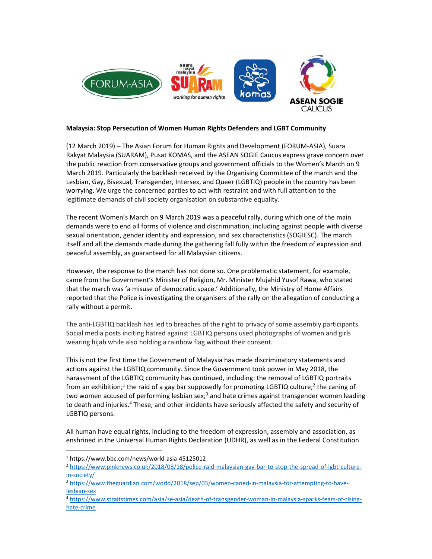

## **Malaysia: Stop Persecution of Women Human Rights Defenders and LGBT Community**

(12 March 2019) – The Asian Forum for Human Rights and Development (FORUM‐ASIA), Suara Rakyat Malaysia (SUARAM), Pusat KOMAS, and the ASEAN SOGIE Caucus express grave concern over the public reaction from conservative groups and government officials to the Women's March on 9 March 2019. Particularly the backlash received by the Organising Committee of the march and the Lesbian, Gay, Bisexual, Transgender, Intersex, and Queer (LGBTIQ) people in the country has been worrying. We urge the concerned parties to act with restraint and with full attention to the legitimate demands of civil society organisation on substantive equality.

The recent Women's March on 9 March 2019 was a peaceful rally, during which one of the main demands were to end all forms of violence and discrimination, including against people with diverse sexual orientation, gender identity and expression, and sex characteristics (SOGIESC). The march itself and all the demands made during the gathering fall fully within the freedom of expression and peaceful assembly, as guaranteed for all Malaysian citizens.

However, the response to the march has not done so. One problematic statement, for example, came from the Government's Minister of Religion, Mr. Minister Mujahid Yusof Rawa, who stated that the march was 'a misuse of democratic space.' Additionally, the Ministry of Home Affairs reported that the Police is investigating the organisers of the rally on the allegation of conducting a rally without a permit.

The anti‐LGBTIQ backlash has led to breaches of the right to privacy of some assembly participants. Social media posts inciting hatred against LGBTIQ persons used photographs of women and girls wearing hijab while also holding a rainbow flag without their consent.

This is not the first time the Government of Malaysia has made discriminatory statements and actions against the LGBTIQ community. Since the Government took power in May 2018, the harassment of the LGBTIQ community has continued, including: the removal of LGBTIQ portraits from an exhibition;<sup>1</sup> the raid of a gay bar supposedly for promoting LGBTIQ culture;<sup>2</sup> the caning of two women accused of performing lesbian sex;<sup>3</sup> and hate crimes against transgender women leading to death and injuries.<sup>4</sup> These, and other incidents have seriously affected the safety and security of LGBTIQ persons.

All human have equal rights, including to the freedom of expression, assembly and association, as enshrined in the Universal Human Rights Declaration (UDHR), as well as in the Federal Constitution

<sup>1</sup> https://www.bbc.com/news/world‐asia‐45125012

<sup>2</sup> https://www.pinknews.co.uk/2018/08/18/police‐raid‐malaysian‐gay‐bar‐to‐stop‐the‐spread‐of‐lgbt‐culture‐ in‐society/

<sup>3</sup> https://www.theguardian.com/world/2018/sep/03/women-caned-in-malaysia-for-attempting-to-havelesbian‐sex

<sup>4</sup> https://www.straitstimes.com/asia/se‐asia/death‐of‐transgender‐woman‐in‐malaysia‐sparks‐fears‐of‐rising‐ hate‐crime